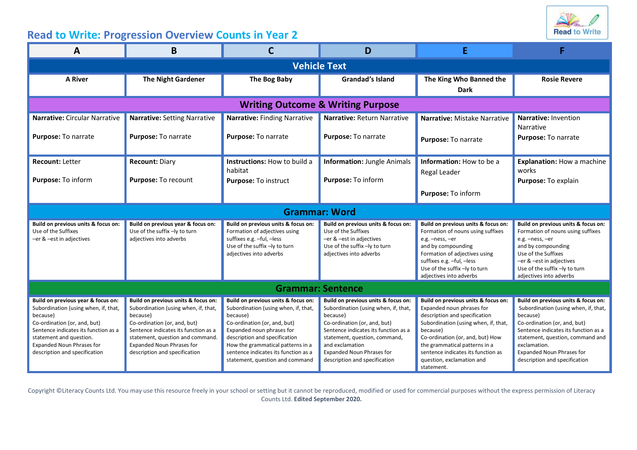

## **Read to Write: Progression Overview Counts in Year 2**

| Α                                                                                                                                                                                                                                                              | B                                                                                                                                                                                                                                                                        |                                                                                                                                                                                                                                                                                                       | D                                                                                                                                                                                                                                                                                        |                                                                                                                                                                                                                                                                                                             |                                                                                                                                                                                                                                                                                   |  |  |  |  |
|----------------------------------------------------------------------------------------------------------------------------------------------------------------------------------------------------------------------------------------------------------------|--------------------------------------------------------------------------------------------------------------------------------------------------------------------------------------------------------------------------------------------------------------------------|-------------------------------------------------------------------------------------------------------------------------------------------------------------------------------------------------------------------------------------------------------------------------------------------------------|------------------------------------------------------------------------------------------------------------------------------------------------------------------------------------------------------------------------------------------------------------------------------------------|-------------------------------------------------------------------------------------------------------------------------------------------------------------------------------------------------------------------------------------------------------------------------------------------------------------|-----------------------------------------------------------------------------------------------------------------------------------------------------------------------------------------------------------------------------------------------------------------------------------|--|--|--|--|
| <b>Vehicle Text</b>                                                                                                                                                                                                                                            |                                                                                                                                                                                                                                                                          |                                                                                                                                                                                                                                                                                                       |                                                                                                                                                                                                                                                                                          |                                                                                                                                                                                                                                                                                                             |                                                                                                                                                                                                                                                                                   |  |  |  |  |
| <b>A River</b>                                                                                                                                                                                                                                                 | <b>The Night Gardener</b>                                                                                                                                                                                                                                                | The Bog Baby                                                                                                                                                                                                                                                                                          | <b>Grandad's Island</b>                                                                                                                                                                                                                                                                  | The King Who Banned the<br><b>Dark</b>                                                                                                                                                                                                                                                                      | <b>Rosie Revere</b>                                                                                                                                                                                                                                                               |  |  |  |  |
| <b>Writing Outcome &amp; Writing Purpose</b>                                                                                                                                                                                                                   |                                                                                                                                                                                                                                                                          |                                                                                                                                                                                                                                                                                                       |                                                                                                                                                                                                                                                                                          |                                                                                                                                                                                                                                                                                                             |                                                                                                                                                                                                                                                                                   |  |  |  |  |
| Narrative: Circular Narrative<br>Purpose: To narrate                                                                                                                                                                                                           | <b>Narrative: Setting Narrative</b><br>Purpose: To narrate                                                                                                                                                                                                               | Narrative: Finding Narrative<br>Purpose: To narrate                                                                                                                                                                                                                                                   | Narrative: Return Narrative<br>Purpose: To narrate                                                                                                                                                                                                                                       | Narrative: Mistake Narrative<br>Purpose: To narrate                                                                                                                                                                                                                                                         | Narrative: Invention<br>Narrative<br>Purpose: To narrate                                                                                                                                                                                                                          |  |  |  |  |
| <b>Recount: Letter</b><br>Purpose: To inform                                                                                                                                                                                                                   | <b>Recount: Diary</b><br>Purpose: To recount                                                                                                                                                                                                                             | Instructions: How to build a<br>habitat<br>Purpose: To instruct                                                                                                                                                                                                                                       | <b>Information: Jungle Animals</b><br>Purpose: To inform                                                                                                                                                                                                                                 | Information: How to be a<br>Regal Leader<br>Purpose: To inform                                                                                                                                                                                                                                              | Explanation: How a machine<br>works<br>Purpose: To explain                                                                                                                                                                                                                        |  |  |  |  |
| <b>Grammar: Word</b>                                                                                                                                                                                                                                           |                                                                                                                                                                                                                                                                          |                                                                                                                                                                                                                                                                                                       |                                                                                                                                                                                                                                                                                          |                                                                                                                                                                                                                                                                                                             |                                                                                                                                                                                                                                                                                   |  |  |  |  |
| Build on previous units & focus on:<br>Use of the Suffixes<br>-er & -est in adjectives                                                                                                                                                                         | Build on previous year & focus on:<br>Use of the suffix -ly to turn<br>adjectives into adverbs                                                                                                                                                                           | Build on previous units & focus on:<br>Formation of adjectives using<br>suffixes e.g. -ful, -less<br>Use of the suffix -ly to turn<br>adjectives into adverbs                                                                                                                                         | Build on previous units & focus on:<br>Use of the Suffixes<br>-er & -est in adjectives<br>Use of the suffix -ly to turn<br>adjectives into adverbs                                                                                                                                       | Build on previous units & focus on:<br>Formation of nouns using suffixes<br>e.g. -ness, -er<br>and by compounding<br>Formation of adjectives using<br>suffixes e.g. -ful, -less<br>Use of the suffix -ly to turn<br>adjectives into adverbs                                                                 | Build on previous units & focus on:<br>Formation of nouns using suffixes<br>e.g. -ness, -er<br>and by compounding<br>Use of the Suffixes<br>er & –est in adjectives<br>Use of the suffix -ly to turn<br>adjectives into adverbs                                                   |  |  |  |  |
| <b>Grammar: Sentence</b>                                                                                                                                                                                                                                       |                                                                                                                                                                                                                                                                          |                                                                                                                                                                                                                                                                                                       |                                                                                                                                                                                                                                                                                          |                                                                                                                                                                                                                                                                                                             |                                                                                                                                                                                                                                                                                   |  |  |  |  |
| Build on previous year & focus on:<br>Subordination (using when, if, that,<br>because)<br>Co-ordination (or, and, but)<br>Sentence indicates its function as a<br>statement and question.<br><b>Expanded Noun Phrases for</b><br>description and specification | Build on previous units & focus on:<br>Subordination (using when, if, that,<br>because)<br>Co-ordination (or, and, but)<br>Sentence indicates its function as a<br>statement, question and command.<br><b>Expanded Noun Phrases for</b><br>description and specification | Build on previous units & focus on:<br>Subordination (using when, if, that,<br>because)<br>Co-ordination (or, and, but)<br>Expanded noun phrases for<br>description and specification<br>How the grammatical patterns in a<br>sentence indicates its function as a<br>statement, question and command | Build on previous units & focus on:<br>Subordination (using when, if, that,<br>because)<br>Co-ordination (or, and, but)<br>Sentence indicates its function as a<br>statement, question, command,<br>and exclamation<br><b>Expanded Noun Phrases for</b><br>description and specification | Build on previous units & focus on:<br>Expanded noun phrases for<br>description and specification<br>Subordination (using when, if, that,<br>because)<br>Co-ordination (or, and, but) How<br>the grammatical patterns in a<br>sentence indicates its function as<br>question, exclamation and<br>statement. | Build on previous units & focus on:<br>Subordination (using when, if, that,<br>because)<br>Co-ordination (or, and, but)<br>Sentence indicates its function as a<br>statement, question, command and<br>exclamation.<br>Expanded Noun Phrases for<br>description and specification |  |  |  |  |

Copyright ©Literacy Counts Ltd. You may use this resource freely in your school or setting but it cannot be reproduced, modified or used for commercial purposes without the express permission of Literacy Counts Ltd. **Edited September 2020.**